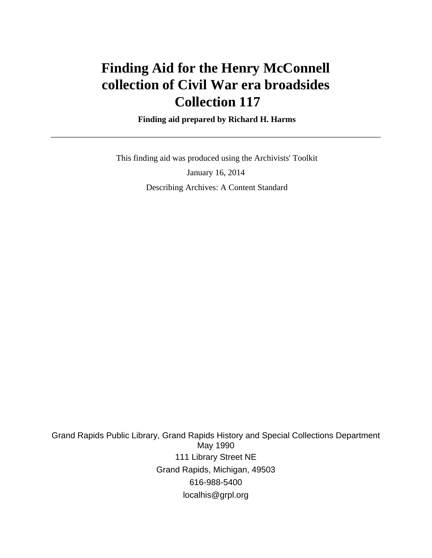# **Finding Aid for the Henry McConnell collection of Civil War era broadsides Collection 117**

 **Finding aid prepared by Richard H. Harms**

 This finding aid was produced using the Archivists' Toolkit January 16, 2014 Describing Archives: A Content Standard

Grand Rapids Public Library, Grand Rapids History and Special Collections Department May 1990 111 Library Street NE Grand Rapids, Michigan, 49503 616-988-5400 localhis@grpl.org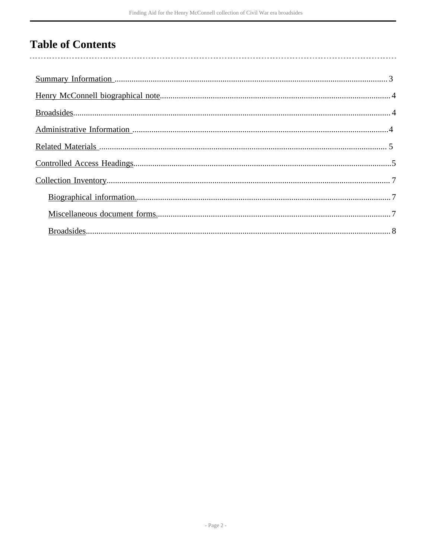# **Table of Contents**

 $\overline{\phantom{a}}$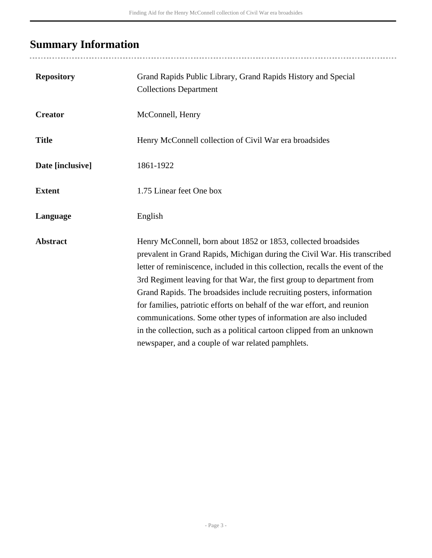# <span id="page-2-0"></span>**Summary Information**

| <b>Repository</b> | Grand Rapids Public Library, Grand Rapids History and Special<br><b>Collections Department</b>                                                                                                                                                                                                                                                                                                                                                                                                                                                                                                                                                                |
|-------------------|---------------------------------------------------------------------------------------------------------------------------------------------------------------------------------------------------------------------------------------------------------------------------------------------------------------------------------------------------------------------------------------------------------------------------------------------------------------------------------------------------------------------------------------------------------------------------------------------------------------------------------------------------------------|
| <b>Creator</b>    | McConnell, Henry                                                                                                                                                                                                                                                                                                                                                                                                                                                                                                                                                                                                                                              |
| <b>Title</b>      | Henry McConnell collection of Civil War era broadsides                                                                                                                                                                                                                                                                                                                                                                                                                                                                                                                                                                                                        |
| Date [inclusive]  | 1861-1922                                                                                                                                                                                                                                                                                                                                                                                                                                                                                                                                                                                                                                                     |
| <b>Extent</b>     | 1.75 Linear feet One box                                                                                                                                                                                                                                                                                                                                                                                                                                                                                                                                                                                                                                      |
| Language          | English                                                                                                                                                                                                                                                                                                                                                                                                                                                                                                                                                                                                                                                       |
| <b>Abstract</b>   | Henry McConnell, born about 1852 or 1853, collected broadsides<br>prevalent in Grand Rapids, Michigan during the Civil War. His transcribed<br>letter of reminiscence, included in this collection, recalls the event of the<br>3rd Regiment leaving for that War, the first group to department from<br>Grand Rapids. The broadsides include recruiting posters, information<br>for families, patriotic efforts on behalf of the war effort, and reunion<br>communications. Some other types of information are also included<br>in the collection, such as a political cartoon clipped from an unknown<br>newspaper, and a couple of war related pamphlets. |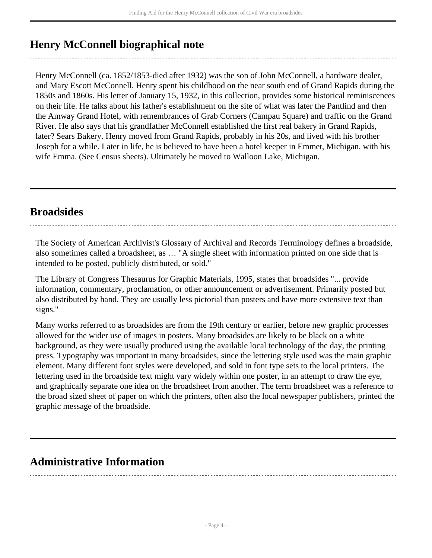## <span id="page-3-0"></span>**Henry McConnell biographical note**

Henry McConnell (ca. 1852/1853-died after 1932) was the son of John McConnell, a hardware dealer, and Mary Escott McConnell. Henry spent his childhood on the near south end of Grand Rapids during the 1850s and 1860s. His letter of January 15, 1932, in this collection, provides some historical reminiscences on their life. He talks about his father's establishment on the site of what was later the Pantlind and then the Amway Grand Hotel, with remembrances of Grab Corners (Campau Square) and traffic on the Grand River. He also says that his grandfather McConnell established the first real bakery in Grand Rapids, later? Sears Bakery. Henry moved from Grand Rapids, probably in his 20s, and lived with his brother Joseph for a while. Later in life, he is believed to have been a hotel keeper in Emmet, Michigan, with his wife Emma. (See Census sheets). Ultimately he moved to Walloon Lake, Michigan.

### <span id="page-3-1"></span>**Broadsides**

The Society of American Archivist's Glossary of Archival and Records Terminology defines a broadside, also sometimes called a broadsheet, as … "A single sheet with information printed on one side that is intended to be posted, publicly distributed, or sold."

The Library of Congress Thesaurus for Graphic Materials, 1995, states that broadsides "... provide information, commentary, proclamation, or other announcement or advertisement. Primarily posted but also distributed by hand. They are usually less pictorial than posters and have more extensive text than signs."

Many works referred to as broadsides are from the 19th century or earlier, before new graphic processes allowed for the wider use of images in posters. Many broadsides are likely to be black on a white background, as they were usually produced using the available local technology of the day, the printing press. Typography was important in many broadsides, since the lettering style used was the main graphic element. Many different font styles were developed, and sold in font type sets to the local printers. The lettering used in the broadside text might vary widely within one poster, in an attempt to draw the eye, and graphically separate one idea on the broadsheet from another. The term broadsheet was a reference to the broad sized sheet of paper on which the printers, often also the local newspaper publishers, printed the graphic message of the broadside.

## <span id="page-3-2"></span>**Administrative Information**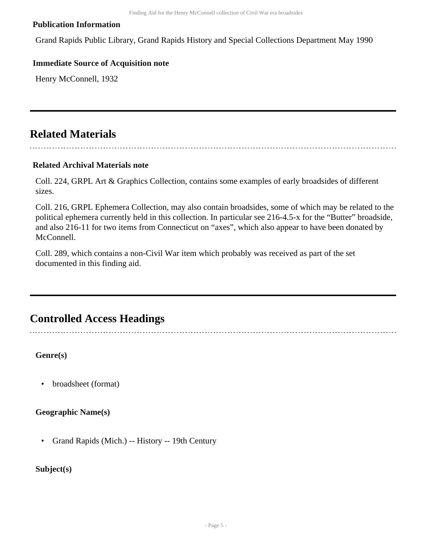#### **Publication Information**

Grand Rapids Public Library, Grand Rapids History and Special Collections Department May 1990

#### **Immediate Source of Acquisition note**

Henry McConnell, 1932

### <span id="page-4-0"></span>**Related Materials**

#### 

#### **Related Archival Materials note**

Coll. 224, GRPL Art & Graphics Collection, contains some examples of early broadsides of different sizes.

Coll. 216, GRPL Ephemera Collection, may also contain broadsides, some of which may be related to the political ephemera currently held in this collection. In particular see 216-4.5-x for the "Butter" broadside, and also 216-11 for two items from Connecticut on "axes", which also appear to have been donated by McConnell.

Coll. 289, which contains a non-Civil War item which probably was received as part of the set documented in this finding aid.

### <span id="page-4-1"></span>**Controlled Access Headings**

**Genre(s)**

• broadsheet (format)

**Geographic Name(s)**

• Grand Rapids (Mich.) -- History -- 19th Century

#### **Subject(s)**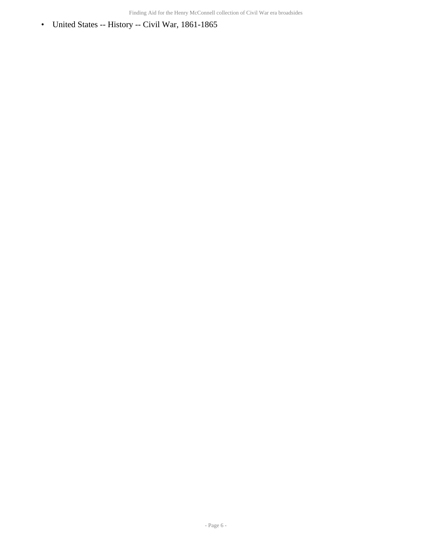• United States -- History -- Civil War, 1861-1865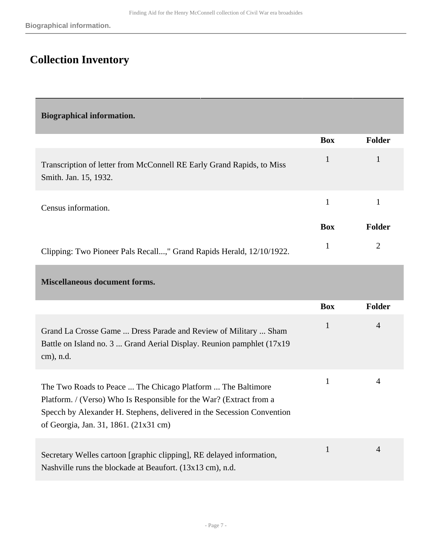## <span id="page-6-0"></span>**Collection Inventory**

<span id="page-6-2"></span><span id="page-6-1"></span>**Biographical information. Box Folder** Transcription of letter from McConnell RE Early Grand Rapids, to Miss Smith. Jan. 15, 1932. 1 1 Census information. <sup>1</sup> <sup>1</sup> **Box Folder** Clipping: Two Pioneer Pals Recall...," Grand Rapids Herald, 12/10/1922. 1 2 **Miscellaneous document forms. Box Folder** Grand La Crosse Game ... Dress Parade and Review of Military ... Sham Battle on Island no. 3 ... Grand Aerial Display. Reunion pamphlet (17x19 cm), n.d. 1 4 The Two Roads to Peace ... The Chicago Platform ... The Baltimore Platform. / (Verso) Who Is Responsible for the War? (Extract from a Specch by Alexander H. Stephens, delivered in the Secession Convention of Georgia, Jan. 31, 1861. (21x31 cm) 1 4 Secretary Welles cartoon [graphic clipping], RE delayed information, Nashville runs the blockade at Beaufort. (13x13 cm), n.d. 1 4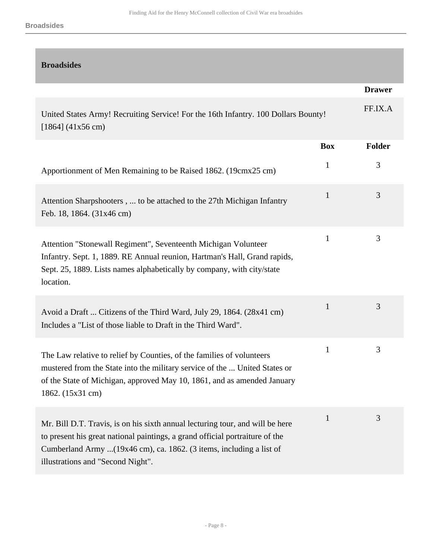<span id="page-7-0"></span>

| <b>Broadsides</b>                                                                                                                                                                                                                                                         |              |               |
|---------------------------------------------------------------------------------------------------------------------------------------------------------------------------------------------------------------------------------------------------------------------------|--------------|---------------|
|                                                                                                                                                                                                                                                                           |              | <b>Drawer</b> |
| United States Army! Recruiting Service! For the 16th Infantry. 100 Dollars Bounty!<br>$[1864]$ (41x56 cm)                                                                                                                                                                 |              | FF.IX.A       |
|                                                                                                                                                                                                                                                                           | <b>Box</b>   | <b>Folder</b> |
| Apportionment of Men Remaining to be Raised 1862. (19cmx25 cm)                                                                                                                                                                                                            | $\mathbf{1}$ | 3             |
| Attention Sharpshooters,  to be attached to the 27th Michigan Infantry<br>Feb. 18, 1864. (31x46 cm)                                                                                                                                                                       | $\mathbf{1}$ | 3             |
| Attention "Stonewall Regiment", Seventeenth Michigan Volunteer<br>Infantry. Sept. 1, 1889. RE Annual reunion, Hartman's Hall, Grand rapids,<br>Sept. 25, 1889. Lists names alphabetically by company, with city/state<br>location.                                        | $\mathbf{1}$ | 3             |
| Avoid a Draft  Citizens of the Third Ward, July 29, 1864. (28x41 cm)<br>Includes a "List of those liable to Draft in the Third Ward".                                                                                                                                     | $\mathbf{1}$ | 3             |
| The Law relative to relief by Counties, of the families of volunteers<br>mustered from the State into the military service of the  United States or<br>of the State of Michigan, approved May 10, 1861, and as amended January<br>1862. (15x31 cm)                        | $\mathbf{1}$ | 3             |
| Mr. Bill D.T. Travis, is on his sixth annual lecturing tour, and will be here<br>to present his great national paintings, a grand official portraiture of the<br>Cumberland Army (19x46 cm), ca. 1862. (3 items, including a list of<br>illustrations and "Second Night". | $\mathbf{1}$ | 3             |